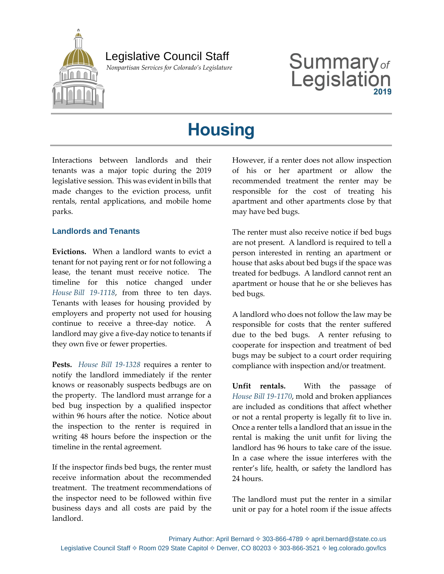

 *Nonpartisan Services for Colorado's Legislature*

# Summary<sub>of</sub><br>Legislation Legislat

## **Housing**

Interactions between landlords and their tenants was a major topic during the 2019 legislative session. This was evident in bills that made changes to the eviction process, unfit rentals, rental applications, and mobile home parks.

#### **Landlords and Tenants**

**Evictions.** When a landlord wants to evict a tenant for not paying rent or for not following a lease, the tenant must receive notice. The timeline for this notice changed under *House [Bill 19-1118](https://leg.colorado.gov/bills/hb19-1118)*, from three to ten days. Tenants with leases for housing provided by employers and property not used for housing continue to receive a three-day notice. landlord may give a five-day notice to tenants if they own five or fewer properties.

**Pests.** *[House Bill 19-1328](https://leg.colorado.gov/bills/hb19-1328)* requires a renter to notify the landlord immediately if the renter knows or reasonably suspects bedbugs are on the property. The landlord must arrange for a bed bug inspection by a qualified inspector within 96 hours after the notice. Notice about the inspection to the renter is required in writing 48 hours before the inspection or the timeline in the rental agreement.

If the inspector finds bed bugs, the renter must receive information about the recommended treatment. The treatment recommendations of the inspector need to be followed within five business days and all costs are paid by the landlord.

However, if a renter does not allow inspection of his or her apartment or allow the recommended treatment the renter may be responsible for the cost of treating his apartment and other apartments close by that may have bed bugs.

The renter must also receive notice if bed bugs are not present. A landlord is required to tell a person interested in renting an apartment or house that asks about bed bugs if the space was treated for bedbugs. A landlord cannot rent an apartment or house that he or she believes has bed bugs.

A landlord who does not follow the law may be responsible for costs that the renter suffered due to the bed bugs. A renter refusing to cooperate for inspection and treatment of bed bugs may be subject to a court order requiring compliance with inspection and/or treatment.

**Unfit rentals.** With the passage of *House Bill [19-1170](https://leg.colorado.gov/bills/hb19-1170)*, mold and broken appliances are included as conditions that affect whether or not a rental property is legally fit to live in. Once a renter tells a landlord that an issue in the rental is making the unit unfit for living the landlord has 96 hours to take care of the issue. In a case where the issue interferes with the renter's life, health, or safety the landlord has 24 hours.

The landlord must put the renter in a similar unit or pay for a hotel room if the issue affects